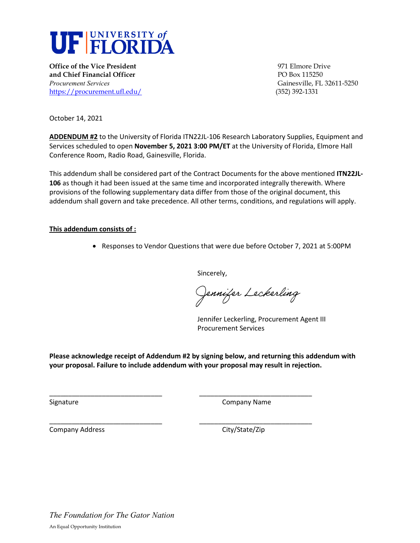

**Office of the Vice President** 1971 **Contract 1971** Elmore Drive **and Chief Financial Officer PO Box 115250** *Procurement Services* Gainesville, FL 32611-5250 <https://procurement.ufl.edu/>(352) 392-1331

October 14, 2021

**ADDENDUM #2** to the University of Florida ITN22JL-106 Research Laboratory Supplies, Equipment and Services scheduled to open **November 5, 2021 3:00 PM/ET** at the University of Florida, Elmore Hall Conference Room, Radio Road, Gainesville, Florida.

This addendum shall be considered part of the Contract Documents for the above mentioned **ITN22JL-106** as though it had been issued at the same time and incorporated integrally therewith. Where provisions of the following supplementary data differ from those of the original document, this addendum shall govern and take precedence. All other terms, conditions, and regulations will apply.

#### **This addendum consists of :**

• Responses to Vendor Questions that were due before October 7, 2021 at 5:00PM

Sincerely,

Jennifer Leckerling

Jennifer Leckerling, Procurement Agent III Procurement Services

**Please acknowledge receipt of Addendum #2 by signing below, and returning this addendum with your proposal. Failure to include addendum with your proposal may result in rejection.** 

\_\_\_\_\_\_\_\_\_\_\_\_\_\_\_\_\_\_\_\_\_\_\_\_\_\_\_\_\_\_ \_\_\_\_\_\_\_\_\_\_\_\_\_\_\_\_\_\_\_\_\_\_\_\_\_\_\_\_\_\_

\_\_\_\_\_\_\_\_\_\_\_\_\_\_\_\_\_\_\_\_\_\_\_\_\_\_\_\_\_\_ \_\_\_\_\_\_\_\_\_\_\_\_\_\_\_\_\_\_\_\_\_\_\_\_\_\_\_\_\_\_

Signature **Company Name** Company Name **Company Name** 

Company Address Company Address City/State/Zip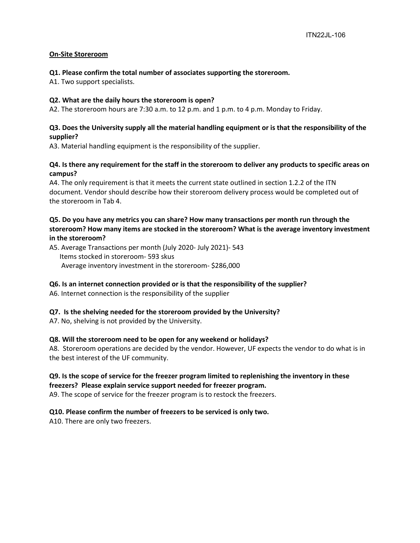# **On-Site Storeroom**

#### **Q1. Please confirm the total number of associates supporting the storeroom.**

A1. Two support specialists.

#### **Q2. What are the daily hours the storeroom is open?**

A2. The storeroom hours are 7:30 a.m. to 12 p.m. and 1 p.m. to 4 p.m. Monday to Friday.

# **Q3. Does the University supply all the material handling equipment or is that the responsibility of the supplier?**

A3. Material handling equipment is the responsibility of the supplier.

# **Q4. Is there any requirement for the staff in the storeroom to deliver any products to specific areas on campus?**

A4. The only requirement is that it meets the current state outlined in section 1.2.2 of the ITN document. Vendor should describe how their storeroom delivery process would be completed out of the storeroom in Tab 4.

# **Q5. Do you have any metrics you can share? How many transactions per month run through the storeroom? How many items are stocked in the storeroom? What is the average inventory investment in the storeroom?**

A5. Average Transactions per month (July 2020- July 2021)- 543 Items stocked in storeroom- 593 skus Average inventory investment in the storeroom- \$286,000

# **Q6. Is an internet connection provided or is that the responsibility of the supplier?**

A6. Internet connection is the responsibility of the supplier

# **Q7. Is the shelving needed for the storeroom provided by the University?**

A7. No, shelving is not provided by the University.

# **Q8. Will the storeroom need to be open for any weekend or holidays?**

A8. Storeroom operations are decided by the vendor. However, UF expects the vendor to do what is in the best interest of the UF community.

# **Q9. Is the scope of service for the freezer program limited to replenishing the inventory in these**

#### **freezers? Please explain service support needed for freezer program.**

A9. The scope of service for the freezer program is to restock the freezers.

# **Q10. Please confirm the number of freezers to be serviced is only two.**

A10. There are only two freezers.